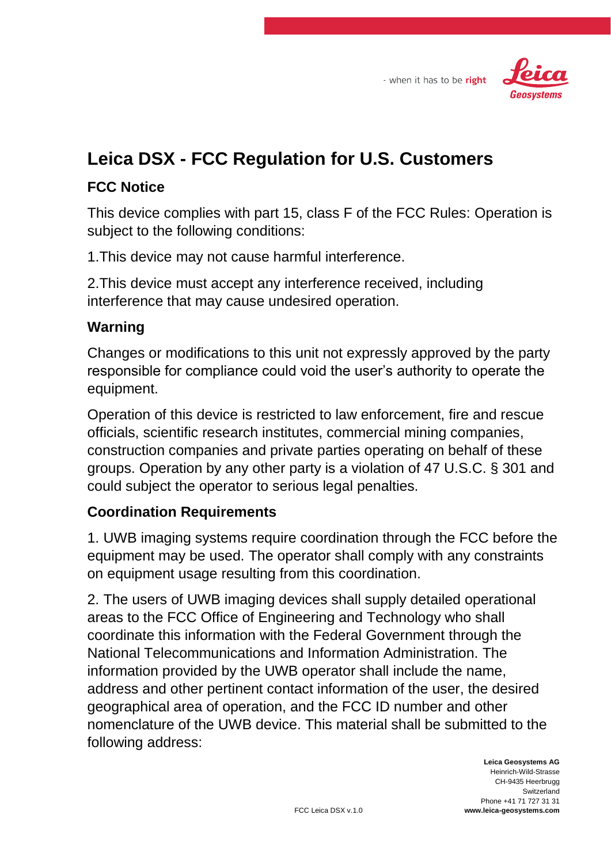



## **Leica DSX - FCC Regulation for U.S. Customers**

## **FCC Notice**

This device complies with part 15, class F of the FCC Rules: Operation is subject to the following conditions:

1.This device may not cause harmful interference.

2.This device must accept any interference received, including interference that may cause undesired operation.

## **Warning**

Changes or modifications to this unit not expressly approved by the party responsible for compliance could void the user's authority to operate the equipment.

Operation of this device is restricted to law enforcement, fire and rescue officials, scientific research institutes, commercial mining companies, construction companies and private parties operating on behalf of these groups. Operation by any other party is a violation of 47 U.S.C. § 301 and could subject the operator to serious legal penalties.

## **Coordination Requirements**

1. UWB imaging systems require coordination through the FCC before the equipment may be used. The operator shall comply with any constraints on equipment usage resulting from this coordination.

2. The users of UWB imaging devices shall supply detailed operational areas to the FCC Office of Engineering and Technology who shall coordinate this information with the Federal Government through the National Telecommunications and Information Administration. The information provided by the UWB operator shall include the name, address and other pertinent contact information of the user, the desired geographical area of operation, and the FCC ID number and other nomenclature of the UWB device. This material shall be submitted to the following address: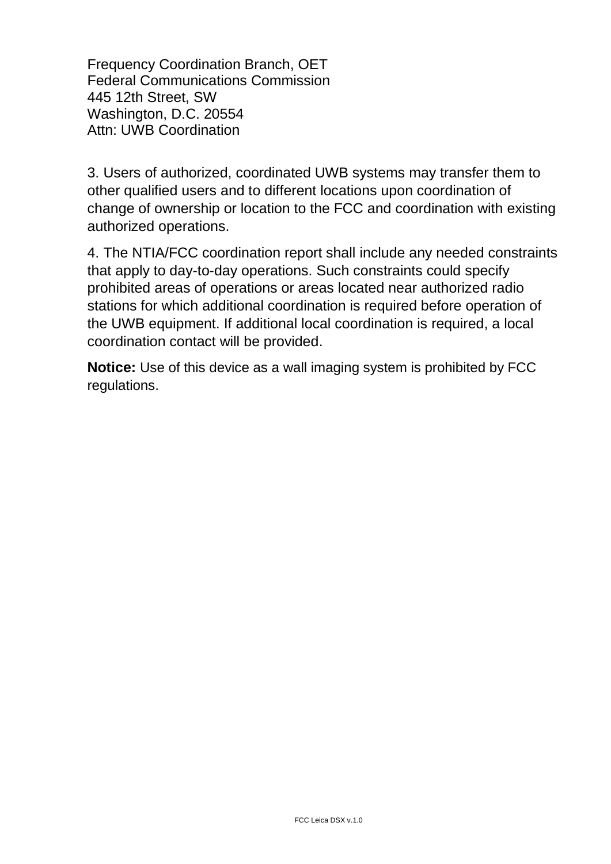Frequency Coordination Branch, OET Federal Communications Commission 445 12th Street, SW Washington, D.C. 20554 Attn: UWB Coordination

3. Users of authorized, coordinated UWB systems may transfer them to other qualified users and to different locations upon coordination of change of ownership or location to the FCC and coordination with existing authorized operations.

4. The NTIA/FCC coordination report shall include any needed constraints that apply to day-to-day operations. Such constraints could specify prohibited areas of operations or areas located near authorized radio stations for which additional coordination is required before operation of the UWB equipment. If additional local coordination is required, a local coordination contact will be provided.

**Notice:** Use of this device as a wall imaging system is prohibited by FCC regulations.